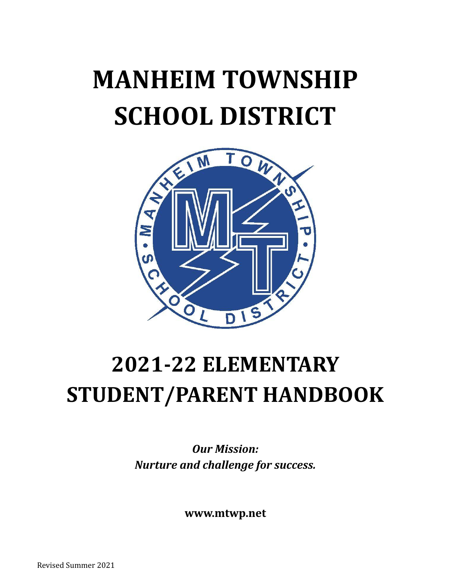# **MANHEIM TOWNSHIP SCHOOL DISTRICT**



## **2021-22 ELEMENTARY STUDENT/PARENT HANDBOOK**

*Our Mission: Nurture and challenge for success.*

**www.mtwp.net**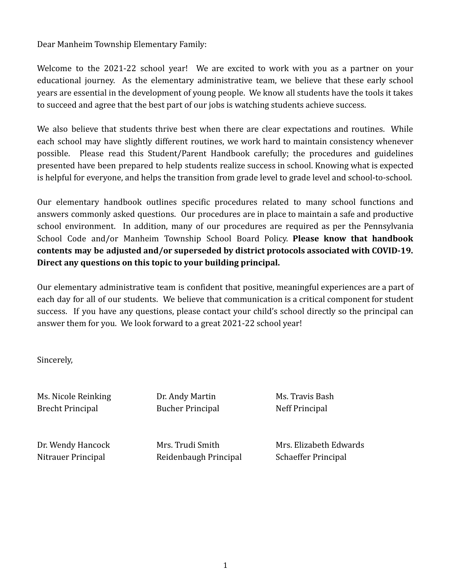Dear Manheim Township Elementary Family:

Welcome to the 2021-22 school year! We are excited to work with you as a partner on your educational journey. As the elementary administrative team, we believe that these early school years are essential in the development of young people. We know all students have the tools it takes to succeed and agree that the best part of our jobs is watching students achieve success.

We also believe that students thrive best when there are clear expectations and routines. While each school may have slightly different routines, we work hard to maintain consistency whenever possible. Please read this Student/Parent Handbook carefully; the procedures and guidelines presented have been prepared to help students realize success in school. Knowing what is expected is helpful for everyone, and helps the transition from grade level to grade level and school-to-school.

Our elementary handbook outlines specific procedures related to many school functions and answers commonly asked questions. Our procedures are in place to maintain a safe and productive school environment. In addition, many of our procedures are required as per the Pennsylvania School Code and/or Manheim Township School Board Policy. **Please know that handbook contents may be adjusted and/or superseded by district protocols associated with COVID-19. Direct any questions on this topic to your building principal.**

Our elementary administrative team is confident that positive, meaningful experiences are a part of each day for all of our students. We believe that communication is a critical component for student success. If you have any questions, please contact your child's school directly so the principal can answer them for you. We look forward to a great 2021-22 school year!

Sincerely,

Ms. Nicole Reinking **Dr. Andy Martin** Ms. Travis Bash Brecht Principal Bucher Principal Neff Principal

Nitrauer Principal Reidenbaugh Principal Schaeffer Principal

Dr. Wendy Hancock Mrs. Trudi Smith Mrs. Elizabeth Edwards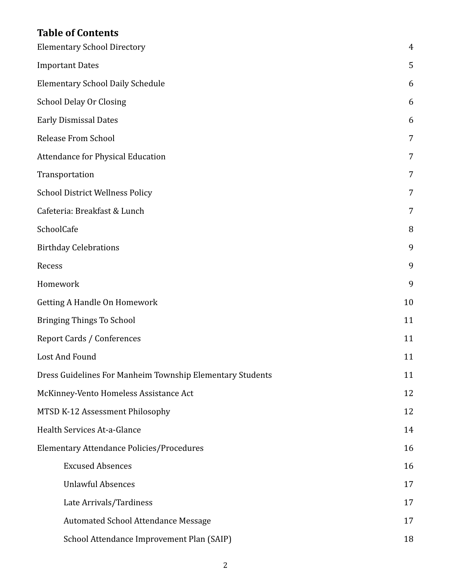## **Table of Contents**

| <b>Elementary School Directory</b>                        | 4  |
|-----------------------------------------------------------|----|
| <b>Important Dates</b>                                    | 5  |
| <b>Elementary School Daily Schedule</b>                   | 6  |
| <b>School Delay Or Closing</b>                            | 6  |
| <b>Early Dismissal Dates</b>                              | 6  |
| <b>Release From School</b>                                | 7  |
| Attendance for Physical Education                         | 7  |
| Transportation                                            | 7  |
| <b>School District Wellness Policy</b>                    | 7  |
| Cafeteria: Breakfast & Lunch                              | 7  |
| SchoolCafe                                                | 8  |
| <b>Birthday Celebrations</b>                              | 9  |
| Recess                                                    | 9  |
| Homework                                                  | 9  |
| <b>Getting A Handle On Homework</b>                       | 10 |
| <b>Bringing Things To School</b>                          | 11 |
| Report Cards / Conferences                                | 11 |
| Lost And Found                                            | 11 |
| Dress Guidelines For Manheim Township Elementary Students | 11 |
| McKinney-Vento Homeless Assistance Act                    | 12 |
| MTSD K-12 Assessment Philosophy                           | 12 |
| Health Services At-a-Glance                               | 14 |
| <b>Elementary Attendance Policies/Procedures</b>          | 16 |
| <b>Excused Absences</b>                                   | 16 |
| <b>Unlawful Absences</b>                                  | 17 |
| Late Arrivals/Tardiness                                   | 17 |
| Automated School Attendance Message                       | 17 |
| School Attendance Improvement Plan (SAIP)                 | 18 |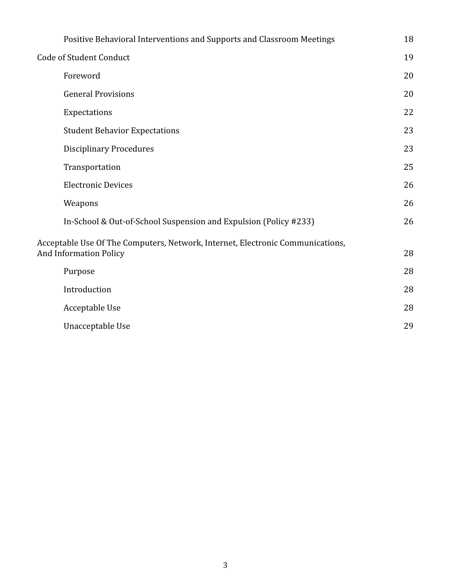| Positive Behavioral Interventions and Supports and Classroom Meetings          | 18 |
|--------------------------------------------------------------------------------|----|
| Code of Student Conduct                                                        | 19 |
| Foreword                                                                       | 20 |
| <b>General Provisions</b>                                                      | 20 |
| Expectations                                                                   | 22 |
| <b>Student Behavior Expectations</b>                                           | 23 |
| <b>Disciplinary Procedures</b>                                                 | 23 |
| Transportation                                                                 | 25 |
| <b>Electronic Devices</b>                                                      | 26 |
| Weapons                                                                        | 26 |
| In-School & Out-of-School Suspension and Expulsion (Policy #233)               | 26 |
| Acceptable Use Of The Computers, Network, Internet, Electronic Communications, |    |
| <b>And Information Policy</b>                                                  | 28 |
| Purpose                                                                        | 28 |
| Introduction                                                                   | 28 |
| Acceptable Use                                                                 | 28 |
| Unacceptable Use                                                               | 29 |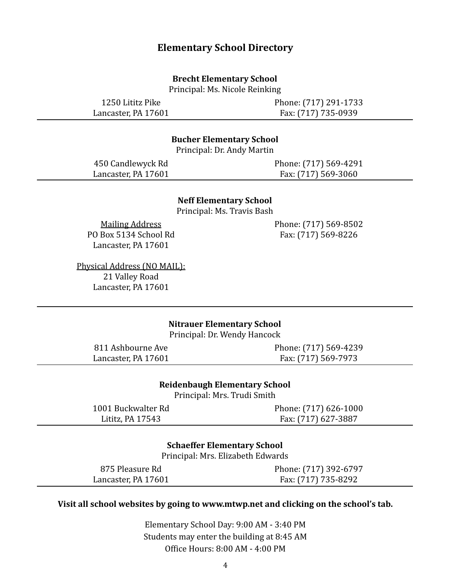#### **Elementary School Directory**

#### **Brecht Elementary School**

Principal: Ms. Nicole Reinking

<span id="page-4-0"></span>1250 Lititz Pike Lancaster, PA 17601 Phone: (717) 291-1733 Fax: (717) 735-0939

#### **Bucher Elementary School**

Principal: Dr. Andy Martin

450 Candlewyck Rd Lancaster, PA 17601 Phone: (717) 569-4291 Fax: (717) 569-3060

#### **Neff Elementary School**

Principal: Ms. Travis Bash

Mailing Address PO Box 5134 School Rd Lancaster, PA 17601

Physical Address (NO MAIL): 21 Valley Road Lancaster, PA 17601

Phone: (717) 569-8502 Fax: (717) 569-8226

#### **Nitrauer Elementary School**

Principal: Dr. Wendy Hancock

811 Ashbourne Ave Lancaster, PA 17601 Phone: (717) 569-4239 Fax: (717) 569-7973

#### **Reidenbaugh Elementary School**

Principal: Mrs. Trudi Smith

| 1001 Buckwalter Rd | Phone: (717) 626-1000 |
|--------------------|-----------------------|
| Lititz, PA 17543   | Fax: (717) 627-3887   |

#### **Schaeffer Elementary School**

Principal: Mrs. Elizabeth Edwards

875 Pleasure Rd Lancaster, PA 17601 Phone: (717) 392-6797 Fax: (717) 735-8292

#### **Visit all school websites by going to www.mtwp.net and clicking on the school's tab.**

Elementary School Day: 9:00 AM - 3:40 PM Students may enter the building at 8:45 AM Office Hours: 8:00 AM - 4:00 PM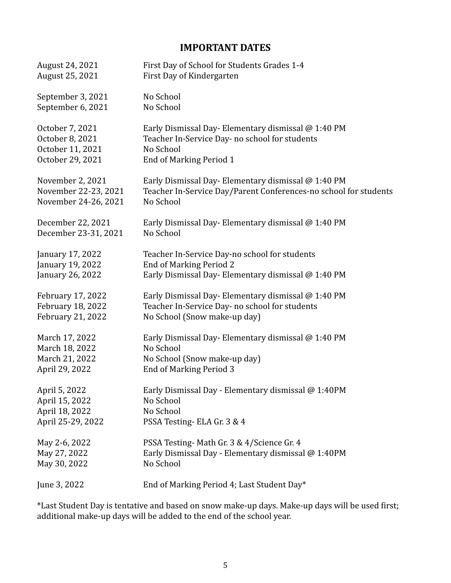## **IMPORTANT DATES**

<span id="page-5-0"></span>

| August 24, 2021      | First Day of School for Students Grades 1-4                      |
|----------------------|------------------------------------------------------------------|
| August 25, 2021      | First Day of Kindergarten                                        |
| September 3, 2021    | No School                                                        |
| September 6, 2021    | No School                                                        |
| October 7, 2021      | Early Dismissal Day-Elementary dismissal @ 1:40 PM               |
| October 8, 2021      | Teacher In-Service Day- no school for students                   |
| October 11, 2021     | No School                                                        |
| October 29, 2021     | <b>End of Marking Period 1</b>                                   |
| November 2, 2021     | Early Dismissal Day-Elementary dismissal @ 1:40 PM               |
| November 22-23, 2021 | Teacher In-Service Day/Parent Conferences-no school for students |
| November 24-26, 2021 | No School                                                        |
| December 22, 2021    | Early Dismissal Day-Elementary dismissal @ 1:40 PM               |
| December 23-31, 2021 | No School                                                        |
| January 17, 2022     | Teacher In-Service Day-no school for students                    |
| January 19, 2022     | <b>End of Marking Period 2</b>                                   |
| January 26, 2022     | Early Dismissal Day-Elementary dismissal @ 1:40 PM               |
| February 17, 2022    | Early Dismissal Day-Elementary dismissal @ 1:40 PM               |
| February 18, 2022    | Teacher In-Service Day- no school for students                   |
| February 21, 2022    | No School (Snow make-up day)                                     |
| March 17, 2022       | Early Dismissal Day-Elementary dismissal @ 1:40 PM               |
| March 18, 2022       | No School                                                        |
| March 21, 2022       | No School (Snow make-up day)                                     |
| April 29, 2022       | <b>End of Marking Period 3</b>                                   |
| April 5, 2022        | Early Dismissal Day - Elementary dismissal @ 1:40PM              |
| April 15, 2022       | No School                                                        |
| April 18, 2022       | No School                                                        |
| April 25-29, 2022    | PSSA Testing-ELA Gr. 3 & 4                                       |
| May 2-6, 2022        | PSSA Testing-Math Gr. 3 & 4/Science Gr. 4                        |
| May 27, 2022         | Early Dismissal Day - Elementary dismissal @ 1:40PM              |
| May 30, 2022         | No School                                                        |
| June 3, 2022         | End of Marking Period 4; Last Student Day*                       |

\*Last Student Day is tentative and based on snow make-up days. Make-up days will be used first; additional make-up days will be added to the end of the school year.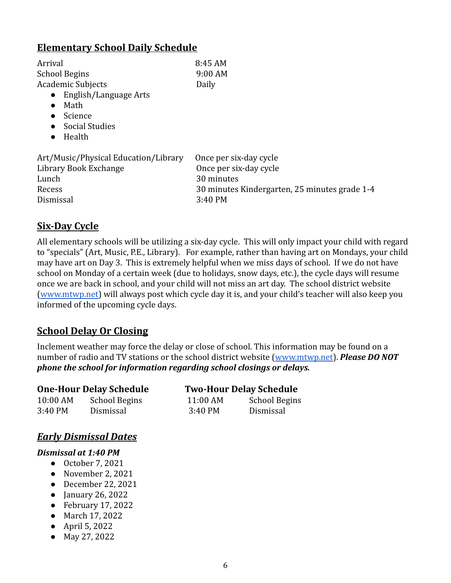## <span id="page-6-0"></span>**Elementary School Daily Schedule**

| Arrival                                                                                                | 8:45 AM                                                                                                                    |
|--------------------------------------------------------------------------------------------------------|----------------------------------------------------------------------------------------------------------------------------|
| <b>School Begins</b>                                                                                   | 9:00 AM                                                                                                                    |
| Academic Subjects<br>English/Language Arts<br>$\bullet$<br>Math<br>Science<br>Social Studies<br>Health | Daily                                                                                                                      |
| Art/Music/Physical Education/Library<br>Library Book Exchange<br>Lunch<br>Recess<br>Dismissal          | Once per six-day cycle<br>Once per six-day cycle<br>30 minutes<br>30 minutes Kindergarten, 25 minutes grade 1-4<br>3:40 PM |

## **Six-Day Cycle**

All elementary schools will be utilizing a six-day cycle. This will only impact your child with regard to "specials" (Art, Music, P.E., Library). For example, rather than having art on Mondays, your child may have art on Day 3. This is extremely helpful when we miss days of school. If we do not have school on Monday of a certain week (due to holidays, snow days, etc.), the cycle days will resume once we are back in school, and your child will not miss an art day. The school district website ([www.mtwp.net\)](http://www.mtwp.net/) will always post which cycle day it is, and your child's teacher will also keep you informed of the upcoming cycle days.

## <span id="page-6-1"></span>**School Delay Or Closing**

Inclement weather may force the delay or close of school. This information may be found on a number of radio and TV stations or the school district website ([www.mtwp.net](http://www.mtwp.net)). *Please DO NOT phone the school for information regarding school closings or delays.*

| <b>One-Hour Delay Schedule</b> |               | <b>Two-Hour Delay Schedule</b> |                      |  |
|--------------------------------|---------------|--------------------------------|----------------------|--|
| 10:00 AM                       | School Begins | $11:00$ AM                     | <b>School Begins</b> |  |
| 3:40 PM                        | Dismissal     | 3:40 PM                        | Dismissal            |  |

## <span id="page-6-2"></span>*Early Dismissal Dates*

#### *Dismissal at 1:40 PM*

- October 7, 2021
- November 2, 2021
- December 22, 2021
- January 26, 2022
- $\bullet$  February 17, 2022
- March 17, 2022
- April 5, 2022
- May 27, 2022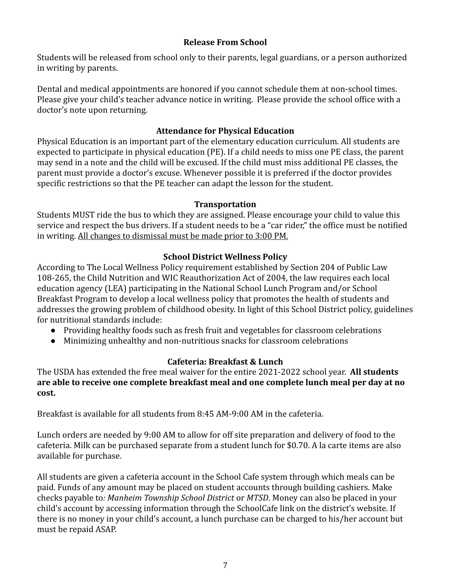#### **Release From School**

<span id="page-7-0"></span>Students will be released from school only to their parents, legal guardians, or a person authorized in writing by parents.

Dental and medical appointments are honored if you cannot schedule them at non-school times. Please give your child's teacher advance notice in writing. Please provide the school office with a doctor's note upon returning.

#### **Attendance for Physical Education**

<span id="page-7-1"></span>Physical Education is an important part of the elementary education curriculum. All students are expected to participate in physical education (PE). If a child needs to miss one PE class, the parent may send in a note and the child will be excused. If the child must miss additional PE classes, the parent must provide a doctor's excuse. Whenever possible it is preferred if the doctor provides specific restrictions so that the PE teacher can adapt the lesson for the student.

#### **Transportation**

<span id="page-7-2"></span>Students MUST ride the bus to which they are assigned. Please encourage your child to value this service and respect the bus drivers. If a student needs to be a "car rider," the office must be notified in writing. All changes to dismissal must be made prior to 3:00 PM.

#### **School District Wellness Policy**

<span id="page-7-3"></span>According to The Local Wellness Policy requirement established by Section 204 of Public Law 108-265, the Child Nutrition and WIC Reauthorization Act of 2004, the law requires each local education agency (LEA) participating in the National School Lunch Program and/or School Breakfast Program to develop a local wellness policy that promotes the health of students and addresses the growing problem of childhood obesity. In light of this School District policy, guidelines for nutritional standards include:

- Providing healthy foods such as fresh fruit and vegetables for classroom celebrations
- Minimizing unhealthy and non-nutritious snacks for classroom celebrations

#### **Cafeteria: Breakfast & Lunch**

<span id="page-7-4"></span>The USDA has extended the free meal waiver for the entire 2021-2022 school year. **All students are able to receive one complete breakfast meal and one complete lunch meal per day at no cost.**

Breakfast is available for all students from 8:45 AM-9:00 AM in the cafeteria.

Lunch orders are needed by 9:00 AM to allow for off site preparation and delivery of food to the cafeteria. Milk can be purchased separate from a student lunch for \$0.70. A la carte items are also available for purchase.

All students are given a cafeteria account in the School Cafe system through which meals can be paid. Funds of any amount may be placed on student accounts through building cashiers. Make checks payable to*: Manheim Township School District* or *MTSD*. Money can also be placed in your child's account by accessing information through the SchoolCafe link on the district's website. If there is no money in your child's account, a lunch purchase can be charged to his/her account but must be repaid ASAP.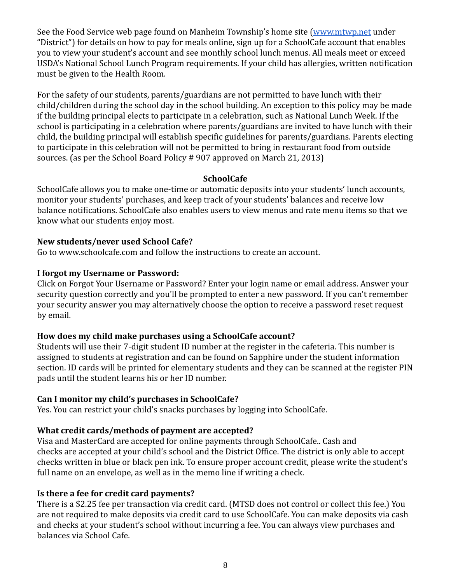See the Food Service web page found on Manheim Township's home site [\(www.mtwp.net](http://www.mtwp.net) under "District") for details on how to pay for meals online, sign up for a SchoolCafe account that enables you to view your student's account and see monthly school lunch menus. All meals meet or exceed USDA's National School Lunch Program requirements. If your child has allergies, written notification must be given to the Health Room.

For the safety of our students, parents/guardians are not permitted to have lunch with their child/children during the school day in the school building. An exception to this policy may be made if the building principal elects to participate in a celebration, such as National Lunch Week. If the school is participating in a celebration where parents/guardians are invited to have lunch with their child, the building principal will establish specific guidelines for parents/guardians. Parents electing to participate in this celebration will not be permitted to bring in restaurant food from outside sources. (as per the School Board Policy # 907 approved on March 21, 2013)

#### **SchoolCafe**

<span id="page-8-0"></span>SchoolCafe allows you to make one-time or automatic deposits into your students' lunch accounts, monitor your students' purchases, and keep track of your students' balances and receive low balance notifications. SchoolCafe also enables users to view menus and rate menu items so that we know what our students enjoy most.

#### **New students/never used School Cafe?**

Go to www.schoolcafe.com and follow the instructions to create an account.

#### **I forgot my Username or Password:**

Click on Forgot Your Username or Password? Enter your login name or email address. Answer your security question correctly and you'll be prompted to enter a new password. If you can't remember your security answer you may alternatively choose the option to receive a password reset request by email.

#### **How does my child make purchases using a SchoolCafe account?**

Students will use their 7-digit student ID number at the register in the cafeteria. This number is assigned to students at registration and can be found on Sapphire under the student information section. ID cards will be printed for elementary students and they can be scanned at the register PIN pads until the student learns his or her ID number.

#### **Can I monitor my child's purchases in SchoolCafe?**

Yes. You can restrict your child's snacks purchases by logging into SchoolCafe.

#### **What credit cards/methods of payment are accepted?**

Visa and MasterCard are accepted for online payments through SchoolCafe.. Cash and checks are accepted at your child's school and the District Office. The district is only able to accept checks written in blue or black pen ink. To ensure proper account credit, please write the student's full name on an envelope, as well as in the memo line if writing a check.

#### **Is there a fee for credit card payments?**

There is a \$2.25 fee per transaction via credit card. (MTSD does not control or collect this fee.) You are not required to make deposits via credit card to use SchoolCafe. You can make deposits via cash and checks at your student's school without incurring a fee. You can always view purchases and balances via School Cafe.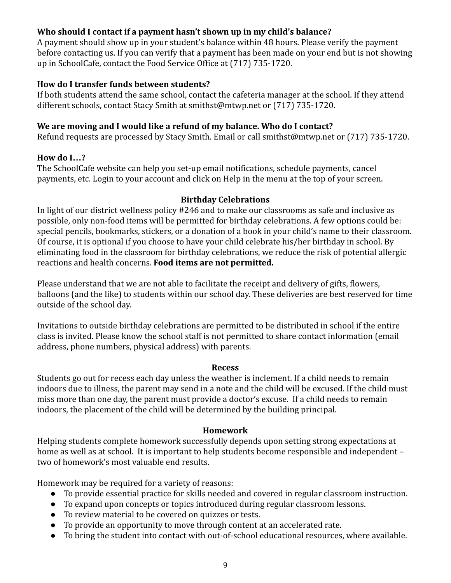#### **Who should I contact if a payment hasn't shown up in my child's balance?**

A payment should show up in your student's balance within 48 hours. Please verify the payment before contacting us. If you can verify that a payment has been made on your end but is not showing up in SchoolCafe, contact the Food Service Office at (717) 735-1720.

#### **How do I transfer funds between students?**

If both students attend the same school, contact the cafeteria manager at the school. If they attend different schools, contact Stacy Smith at smithst@mtwp.net or (717) 735-1720.

#### **We are moving and I would like a refund of my balance. Who do I contact?**

Refund requests are processed by Stacy Smith. Email or call smithst@mtwp.net or (717) 735-1720.

#### **How do I…?**

The SchoolCafe website can help you set-up email notifications, schedule payments, cancel payments, etc. Login to your account and click on Help in the menu at the top of your screen.

#### **Birthday Celebrations**

<span id="page-9-0"></span>In light of our district wellness policy #246 and to make our classrooms as safe and inclusive as possible, only non-food items will be permitted for birthday celebrations. A few options could be: special pencils, bookmarks, stickers, or a donation of a book in your child's name to their classroom. Of course, it is optional if you choose to have your child celebrate his/her birthday in school. By eliminating food in the classroom for birthday celebrations, we reduce the risk of potential allergic reactions and health concerns. **Food items are not permitted.**

Please understand that we are not able to facilitate the receipt and delivery of gifts, flowers, balloons (and the like) to students within our school day. These deliveries are best reserved for time outside of the school day.

Invitations to outside birthday celebrations are permitted to be distributed in school if the entire class is invited. Please know the school staff is not permitted to share contact information (email address, phone numbers, physical address) with parents.

#### **Recess**

<span id="page-9-1"></span>Students go out for recess each day unless the weather is inclement. If a child needs to remain indoors due to illness, the parent may send in a note and the child will be excused. If the child must miss more than one day, the parent must provide a doctor's excuse. If a child needs to remain indoors, the placement of the child will be determined by the building principal.

#### **Homework**

<span id="page-9-2"></span>Helping students complete homework successfully depends upon setting strong expectations at home as well as at school. It is important to help students become responsible and independent – two of homework's most valuable end results.

Homework may be required for a variety of reasons:

- To provide essential practice for skills needed and covered in regular classroom instruction.
- To expand upon concepts or topics introduced during regular classroom lessons.
- To review material to be covered on quizzes or tests.
- To provide an opportunity to move through content at an accelerated rate.
- To bring the student into contact with out-of-school educational resources, where available.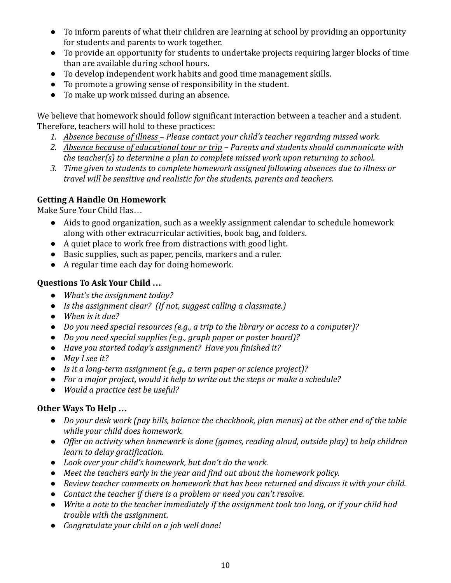- To inform parents of what their children are learning at school by providing an opportunity for students and parents to work together.
- To provide an opportunity for students to undertake projects requiring larger blocks of time than are available during school hours.
- To develop independent work habits and good time management skills.
- To promote a growing sense of responsibility in the student.
- To make up work missed during an absence.

We believe that homework should follow significant interaction between a teacher and a student. Therefore, teachers will hold to these practices:

- *1. Absence because of illness Please contact your child's teacher regarding missed work.*
- *2. Absence because of educational tour or trip Parents and students should communicate with the teacher(s) to determine a plan to complete missed work upon returning to school.*
- *3. Time given to students to complete homework assigned following absences due to illness or travel will be sensitive and realistic for the students, parents and teachers.*

## <span id="page-10-0"></span>**Getting A Handle On Homework**

Make Sure Your Child Has…

- Aids to good organization, such as a weekly assignment calendar to schedule homework along with other extracurricular activities, book bag, and folders.
- A quiet place to work free from distractions with good light.
- Basic supplies, such as paper, pencils, markers and a ruler.
- A regular time each day for doing homework.

## **Questions To Ask Your Child …**

- *● What's the assignment today?*
- *● Is the assignment clear? (If not, suggest calling a classmate.)*
- *● When is it due?*
- *● Do you need special resources (e.g., a trip to the library or access to a computer)?*
- *● Do you need special supplies (e.g., graph paper or poster board)?*
- *● Have you started today's assignment? Have you finished it?*
- *● May I see it?*
- *● Is it a long-term assignment (e.g., a term paper or science project)?*
- *● For a major project, would it help to write out the steps or make a schedule?*
- *● Would a practice test be useful?*

## **Other Ways To Help …**

- *● Do your desk work (pay bills, balance the checkbook, plan menus) at the other end of the table while your child does homework.*
- *● Offer an activity when homework is done (games, reading aloud, outside play) to help children learn to delay gratification.*
- *● Look over your child's homework, but don't do the work.*
- *● Meet the teachers early in the year and find out about the homework policy.*
- *● Review teacher comments on homework that has been returned and discuss it with your child.*
- *● Contact the teacher if there is a problem or need you can't resolve.*
- *● Write a note to the teacher immediately if the assignment took too long, or if your child had trouble with the assignment.*
- *● Congratulate your child on a job well done!*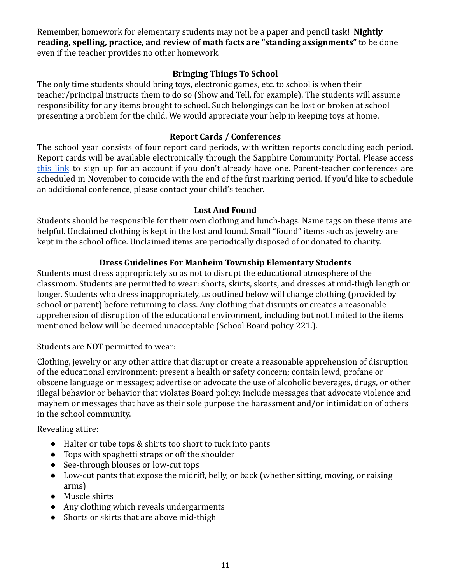Remember, homework for elementary students may not be a paper and pencil task! **Nightly reading, spelling, practice, and review of math facts are "standing assignments"** to be done even if the teacher provides no other homework.

#### **Bringing Things To School**

<span id="page-11-0"></span>The only time students should bring toys, electronic games, etc. to school is when their teacher/principal instructs them to do so (Show and Tell, for example). The students will assume responsibility for any items brought to school. Such belongings can be lost or broken at school presenting a problem for the child. We would appreciate your help in keeping toys at home.

#### **Report Cards / Conferences**

<span id="page-11-1"></span>The school year consists of four report card periods, with written reports concluding each period. Report cards will be available electronically through the Sapphire Community Portal. Please access this [link](https://www.mtwp.net/community/sapphire-community-portal/https://www.mtwp.net/community/sapphire-community-portal/) to sign up for an account if you don't already have one. Parent-teacher conferences are scheduled in November to coincide with the end of the first marking period. If you'd like to schedule an additional conference, please contact your child's teacher.

#### **Lost And Found**

<span id="page-11-2"></span>Students should be responsible for their own clothing and lunch-bags. Name tags on these items are helpful. Unclaimed clothing is kept in the lost and found. Small "found" items such as jewelry are kept in the school office. Unclaimed items are periodically disposed of or donated to charity.

#### **Dress Guidelines For Manheim Township Elementary Students**

<span id="page-11-3"></span>Students must dress appropriately so as not to disrupt the educational atmosphere of the classroom. Students are permitted to wear: shorts, skirts, skorts, and dresses at mid-thigh length or longer. Students who dress inappropriately, as outlined below will change clothing (provided by school or parent) before returning to class. Any clothing that disrupts or creates a reasonable apprehension of disruption of the educational environment, including but not limited to the items mentioned below will be deemed unacceptable (School Board policy 221.).

#### Students are NOT permitted to wear:

Clothing, jewelry or any other attire that disrupt or create a reasonable apprehension of disruption of the educational environment; present a health or safety concern; contain lewd, profane or obscene language or messages; advertise or advocate the use of alcoholic beverages, drugs, or other illegal behavior or behavior that violates Board policy; include messages that advocate violence and mayhem or messages that have as their sole purpose the harassment and/or intimidation of others in the school community.

Revealing attire:

- Halter or tube tops & shirts too short to tuck into pants
- Tops with spaghetti straps or off the shoulder
- See-through blouses or low-cut tops
- Low-cut pants that expose the midriff, belly, or back (whether sitting, moving, or raising arms)
- Muscle shirts
- Any clothing which reveals undergarments
- Shorts or skirts that are above mid-thigh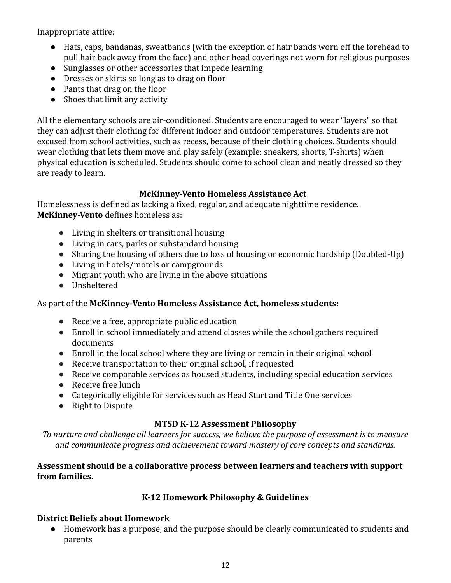Inappropriate attire:

- Hats, caps, bandanas, sweatbands (with the exception of hair bands worn off the forehead to pull hair back away from the face) and other head coverings not worn for religious purposes
- Sunglasses or other accessories that impede learning
- Dresses or skirts so long as to drag on floor
- Pants that drag on the floor
- Shoes that limit any activity

All the elementary schools are air-conditioned. Students are encouraged to wear "layers" so that they can adjust their clothing for different indoor and outdoor temperatures. Students are not excused from school activities, such as recess, because of their clothing choices. Students should wear clothing that lets them move and play safely (example: sneakers, shorts, T-shirts) when physical education is scheduled. Students should come to school clean and neatly dressed so they are ready to learn.

#### **McKinney-Vento Homeless Assistance Act**

Homelessness is defined as lacking a fixed, regular, and adequate nighttime residence. **McKinney-Vento** defines homeless as:

- Living in shelters or transitional housing
- Living in cars, parks or substandard housing
- Sharing the housing of others due to loss of housing or economic hardship (Doubled-Up)
- Living in hotels/motels or campgrounds
- Migrant youth who are living in the above situations
- Unsheltered

#### As part of the **McKinney-Vento Homeless Assistance Act, homeless students:**

- Receive a free, appropriate public education
- Enroll in school immediately and attend classes while the school gathers required documents
- Enroll in the local school where they are living or remain in their original school
- Receive transportation to their original school, if requested
- Receive comparable services as housed students, including special education services
- Receive free lunch
- Categorically eligible for services such as Head Start and Title One services
- Right to Dispute

#### **MTSD K-12 Assessment Philosophy**

*To nurture and challenge all learners for success, we believe the purpose of assessment is to measure and communicate progress and achievement toward mastery of core concepts and standards.*

#### **Assessment should be a collaborative process between learners and teachers with support from families.**

#### **K-12 Homework Philosophy & Guidelines**

#### **District Beliefs about Homework**

● Homework has a purpose, and the purpose should be clearly communicated to students and parents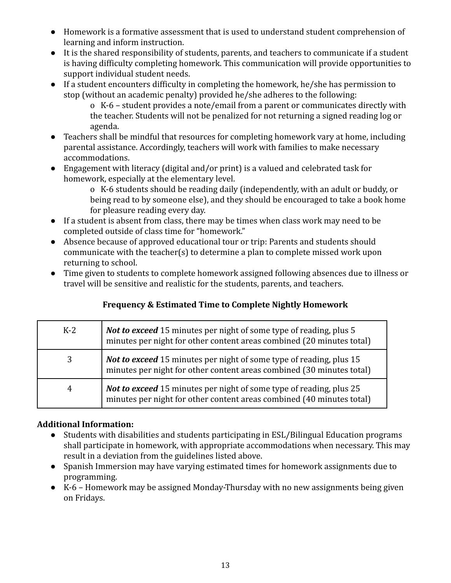- Homework is a formative assessment that is used to understand student comprehension of learning and inform instruction.
- It is the shared responsibility of students, parents, and teachers to communicate if a student is having difficulty completing homework. This communication will provide opportunities to support individual student needs.
- If a student encounters difficulty in completing the homework, he/she has permission to stop (without an academic penalty) provided he/she adheres to the following:
	- o K-6 student provides a note/email from a parent or communicates directly with the teacher. Students will not be penalized for not returning a signed reading log or agenda.
- Teachers shall be mindful that resources for completing homework vary at home, including parental assistance. Accordingly, teachers will work with families to make necessary accommodations.
- Engagement with literacy (digital and/or print) is a valued and celebrated task for homework, especially at the elementary level.
	- o K-6 students should be reading daily (independently, with an adult or buddy, or being read to by someone else), and they should be encouraged to take a book home for pleasure reading every day.
- If a student is absent from class, there may be times when class work may need to be completed outside of class time for "homework."
- Absence because of approved educational tour or trip: Parents and students should communicate with the teacher(s) to determine a plan to complete missed work upon returning to school.
- Time given to students to complete homework assigned following absences due to illness or travel will be sensitive and realistic for the students, parents, and teachers.

## **Frequency & Estimated Time to Complete Nightly Homework**

| $K-2$ | <b>Not to exceed</b> 15 minutes per night of some type of reading, plus 5<br>minutes per night for other content areas combined (20 minutes total)  |  |
|-------|-----------------------------------------------------------------------------------------------------------------------------------------------------|--|
|       | <b>Not to exceed</b> 15 minutes per night of some type of reading, plus 15<br>minutes per night for other content areas combined (30 minutes total) |  |
| 4     | <b>Not to exceed</b> 15 minutes per night of some type of reading, plus 25<br>minutes per night for other content areas combined (40 minutes total) |  |

#### **Additional Information:**

- Students with disabilities and students participating in ESL/Bilingual Education programs shall participate in homework, with appropriate accommodations when necessary. This may result in a deviation from the guidelines listed above.
- Spanish Immersion may have varying estimated times for homework assignments due to programming.
- K-6 Homework may be assigned Monday-Thursday with no new assignments being given on Fridays.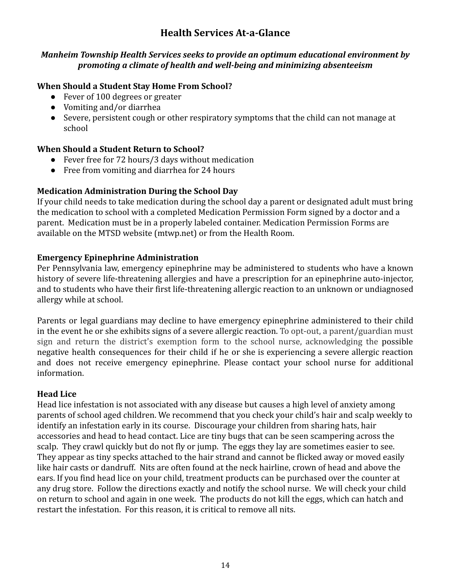## **Health Services At-a-Glance**

#### *Manheim Township Health Services seeks to provide an optimum educational environment by promoting a climate of health and well-being and minimizing absenteeism*

#### **When Should a Student Stay Home From School?**

- Fever of 100 degrees or greater
- Vomiting and/or diarrhea
- Severe, persistent cough or other respiratory symptoms that the child can not manage at school

#### **When Should a Student Return to School?**

- Fever free for 72 hours/3 days without medication
- Free from vomiting and diarrhea for 24 hours

#### **Medication Administration During the School Day**

If your child needs to take medication during the school day a parent or designated adult must bring the medication to school with a completed Medication Permission Form signed by a doctor and a parent. Medication must be in a properly labeled container. Medication Permission Forms are available on the MTSD website (mtwp.net) or from the Health Room.

#### **Emergency Epinephrine Administration**

Per Pennsylvania law, emergency epinephrine may be administered to students who have a known history of severe life-threatening allergies and have a prescription for an epinephrine auto-injector, and to students who have their first life-threatening allergic reaction to an unknown or undiagnosed allergy while at school.

Parents or legal guardians may decline to have emergency epinephrine administered to their child in the event he or she exhibits signs of a severe allergic reaction. To opt-out, a parent/guardian must sign and return the district's exemption form to the school nurse, acknowledging the possible negative health consequences for their child if he or she is experiencing a severe allergic reaction and does not receive emergency epinephrine. Please contact your school nurse for additional information.

#### **Head Lice**

Head lice infestation is not associated with any disease but causes a high level of anxiety among parents of school aged children. We recommend that you check your child's hair and scalp weekly to identify an infestation early in its course. Discourage your children from sharing hats, hair accessories and head to head contact. Lice are tiny bugs that can be seen scampering across the scalp. They crawl quickly but do not fly or jump. The eggs they lay are sometimes easier to see. They appear as tiny specks attached to the hair strand and cannot be flicked away or moved easily like hair casts or dandruff. Nits are often found at the neck hairline, crown of head and above the ears. If you find head lice on your child, treatment products can be purchased over the counter at any drug store. Follow the directions exactly and notify the school nurse. We will check your child on return to school and again in one week. The products do not kill the eggs, which can hatch and restart the infestation. For this reason, it is critical to remove all nits.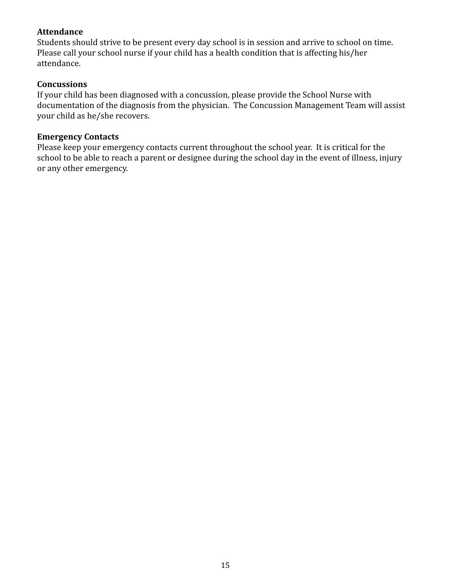#### **Attendance**

Students should strive to be present every day school is in session and arrive to school on time. Please call your school nurse if your child has a health condition that is affecting his/her attendance.

#### **Concussions**

If your child has been diagnosed with a concussion, please provide the School Nurse with documentation of the diagnosis from the physician. The Concussion Management Team will assist your child as he/she recovers.

#### **Emergency Contacts**

Please keep your emergency contacts current throughout the school year. It is critical for the school to be able to reach a parent or designee during the school day in the event of illness, injury or any other emergency.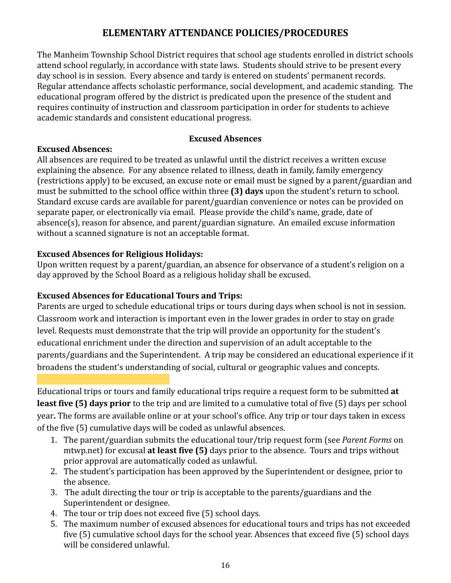## **ELEMENTARY ATTENDANCE POLICIES/PROCEDURES**

<span id="page-16-0"></span>The Manheim Township School District requires that school age students enrolled in district schools attend school regularly, in accordance with state laws. Students should strive to be present every day school is in session. Every absence and tardy is entered on students' permanent records. Regular attendance affects scholastic performance, social development, and academic standing. The educational program offered by the district is predicated upon the presence of the student and requires continuity of instruction and classroom participation in order for students to achieve academic standards and consistent educational progress.

#### **Excused Absences**

#### <span id="page-16-1"></span>**Excused Absences:**

All absences are required to be treated as unlawful until the district receives a written excuse explaining the absence. For any absence related to illness, death in family, family emergency (restrictions apply) to be excused, an excuse note or email must be signed by a parent/guardian and must be submitted to the school office within three **(3) days** upon the student's return to school. Standard excuse cards are available for parent/guardian convenience or notes can be provided on separate paper, or electronically via email. Please provide the child's name, grade, date of absence(s), reason for absence, and parent/guardian signature. An emailed excuse information without a scanned signature is not an acceptable format.

#### **Excused Absences for Religious Holidays:**

Upon written request by a parent/guardian, an absence for observance of a student's religion on a day approved by the School Board as a religious holiday shall be excused.

#### **Excused Absences for Educational Tours and Trips:**

Parents are urged to schedule educational trips or tours during days when school is not in session. Classroom work and interaction is important even in the lower grades in order to stay on grade level. Requests must demonstrate that the trip will provide an opportunity for the student's educational enrichment under the direction and supervision of an adult acceptable to the parents/guardians and the Superintendent. A trip may be considered an educational experience if it broadens the student's understanding of social, cultural or geographic values and concepts.

Educational trips or tours and family educational trips require a request form to be submitted **at least five (5) days prior** to the trip and are limited to a cumulative total of five (5) days per school year**.** The forms are available online or at your school's office. Any trip or tour days taken in excess of the five (5) cumulative days will be coded as unlawful absences.

- 1. The parent/guardian submits the educational tour/trip request form (see *Parent Forms* on mtwp.net) for excusal **at least five (5)** days prior to the absence. Tours and trips without prior approval are automatically coded as unlawful.
- 2. The student's participation has been approved by the Superintendent or designee, prior to the absence.
- 3. The adult directing the tour or trip is acceptable to the parents/guardians and the Superintendent or designee.
- 4. The tour or trip does not exceed five (5) school days.
- 5. The maximum number of excused absences for educational tours and trips has not exceeded five (5) cumulative school days for the school year. Absences that exceed five (5) school days will be considered unlawful.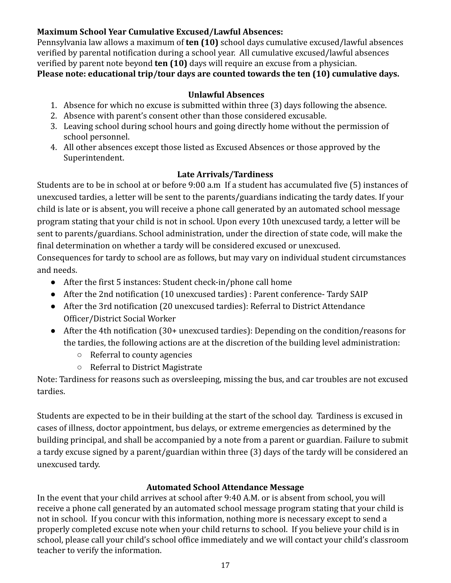#### **Maximum School Year Cumulative Excused/Lawful Absences:**

Pennsylvania law allows a maximum of **ten (10)** school days cumulative excused/lawful absences verified by parental notification during a school year. All cumulative excused/lawful absences verified by parent note beyond **ten (10)** days will require an excuse from a physician. **Please note: educational trip/tour days are counted towards the ten (10) cumulative days.**

#### **Unlawful Absences**

- 1. Absence for which no excuse is submitted within three (3) days following the absence.
- 2. Absence with parent's consent other than those considered excusable.
- 3. Leaving school during school hours and going directly home without the permission of school personnel.
- 4. All other absences except those listed as Excused Absences or those approved by the Superintendent.

#### **Late Arrivals/Tardiness**

<span id="page-17-0"></span>Students are to be in school at or before 9:00 a.m If a student has accumulated five (5) instances of unexcused tardies, a letter will be sent to the parents/guardians indicating the tardy dates. If your child is late or is absent, you will receive a phone call generated by an automated school message program stating that your child is not in school. Upon every 10th unexcused tardy, a letter will be sent to parents/guardians. School administration, under the direction of state code, will make the final determination on whether a tardy will be considered excused or unexcused.

Consequences for tardy to school are as follows, but may vary on individual student circumstances and needs.

- After the first 5 instances: Student check-in/phone call home
- After the 2nd notification (10 unexcused tardies) : Parent conference- Tardy SAIP
- After the 3rd notification (20 unexcused tardies): Referral to District Attendance Officer/District Social Worker
- After the 4th notification (30+ unexcused tardies): Depending on the condition/reasons for the tardies, the following actions are at the discretion of the building level administration:
	- Referral to county agencies
	- Referral to District Magistrate

Note: Tardiness for reasons such as oversleeping, missing the bus, and car troubles are not excused tardies.

Students are expected to be in their building at the start of the school day. Tardiness is excused in cases of illness, doctor appointment, bus delays, or extreme emergencies as determined by the building principal, and shall be accompanied by a note from a parent or guardian. Failure to submit a tardy excuse signed by a parent/guardian within three (3) days of the tardy will be considered an unexcused tardy.

#### **Automated School Attendance Message**

In the event that your child arrives at school after 9:40 A.M. or is absent from school, you will receive a phone call generated by an automated school message program stating that your child is not in school. If you concur with this information, nothing more is necessary except to send a properly completed excuse note when your child returns to school. If you believe your child is in school, please call your child's school office immediately and we will contact your child's classroom teacher to verify the information.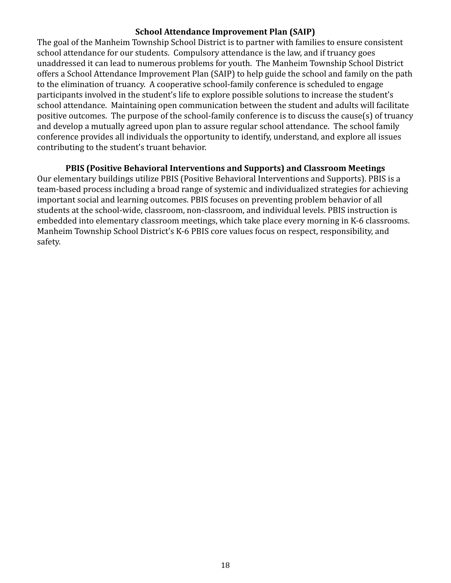#### **School Attendance Improvement Plan (SAIP)**

<span id="page-18-0"></span>The goal of the Manheim Township School District is to partner with families to ensure consistent school attendance for our students. Compulsory attendance is the law, and if truancy goes unaddressed it can lead to numerous problems for youth. The Manheim Township School District offers a School Attendance Improvement Plan (SAIP) to help guide the school and family on the path to the elimination of truancy. A cooperative school-family conference is scheduled to engage participants involved in the student's life to explore possible solutions to increase the student's school attendance. Maintaining open communication between the student and adults will facilitate positive outcomes. The purpose of the school-family conference is to discuss the cause(s) of truancy and develop a mutually agreed upon plan to assure regular school attendance. The school family conference provides all individuals the opportunity to identify, understand, and explore all issues contributing to the student's truant behavior.

#### **PBIS (Positive Behavioral Interventions and Supports) and Classroom Meetings**

Our elementary buildings utilize PBIS (Positive Behavioral Interventions and Supports). PBIS is a team-based process including a broad range of systemic and individualized strategies for achieving important social and learning outcomes. PBIS focuses on preventing problem behavior of all students at the school-wide, classroom, non-classroom, and individual levels. PBIS instruction is embedded into elementary classroom meetings, which take place every morning in K-6 classrooms. Manheim Township School District's K-6 PBIS core values focus on respect, responsibility, and safety.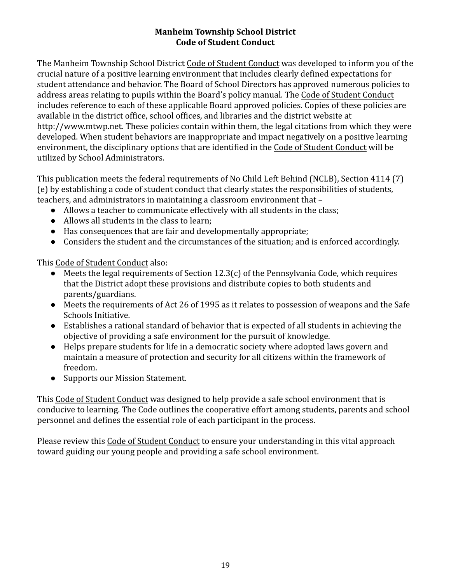#### **Manheim Township School District Code of Student Conduct**

<span id="page-19-0"></span>The Manheim Township School District Code of Student Conduct was developed to inform you of the crucial nature of a positive learning environment that includes clearly defined expectations for student attendance and behavior. The Board of School Directors has approved numerous policies to address areas relating to pupils within the Board's policy manual. The Code of Student Conduct includes reference to each of these applicable Board approved policies. Copies of these policies are available in the district office, school offices, and libraries and the district website at http://www.mtwp.net. These policies contain within them, the legal citations from which they were developed. When student behaviors are inappropriate and impact negatively on a positive learning environment, the disciplinary options that are identified in the Code of Student Conduct will be utilized by School Administrators.

This publication meets the federal requirements of No Child Left Behind (NCLB), Section 4114 (7) (e) by establishing a code of student conduct that clearly states the responsibilities of students, teachers, and administrators in maintaining a classroom environment that –

- Allows a teacher to communicate effectively with all students in the class;
- Allows all students in the class to learn;
- Has consequences that are fair and developmentally appropriate;
- Considers the student and the circumstances of the situation; and is enforced accordingly.

This Code of Student Conduct also:

- Meets the legal requirements of Section 12.3(c) of the Pennsylvania Code, which requires that the District adopt these provisions and distribute copies to both students and parents/guardians.
- Meets the requirements of Act 26 of 1995 as it relates to possession of weapons and the Safe Schools Initiative.
- Establishes a rational standard of behavior that is expected of all students in achieving the objective of providing a safe environment for the pursuit of knowledge.
- Helps prepare students for life in a democratic society where adopted laws govern and maintain a measure of protection and security for all citizens within the framework of freedom.
- Supports our Mission Statement.

This Code of Student Conduct was designed to help provide a safe school environment that is conducive to learning. The Code outlines the cooperative effort among students, parents and school personnel and defines the essential role of each participant in the process.

Please review this Code of Student Conduct to ensure your understanding in this vital approach toward guiding our young people and providing a safe school environment.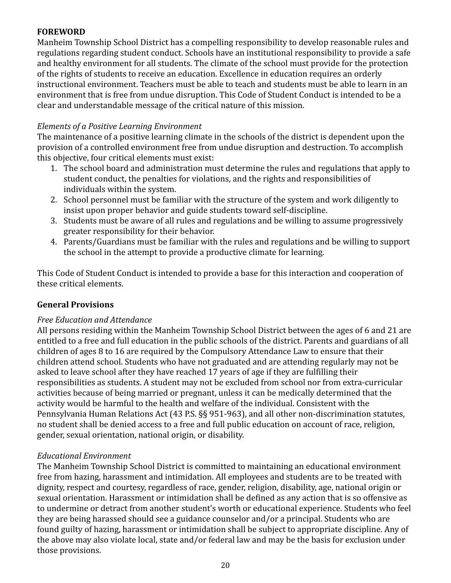#### <span id="page-20-0"></span>**FOREWORD**

Manheim Township School District has a compelling responsibility to develop reasonable rules and regulations regarding student conduct. Schools have an institutional responsibility to provide a safe and healthy environment for all students. The climate of the school must provide for the protection of the rights of students to receive an education. Excellence in education requires an orderly instructional environment. Teachers must be able to teach and students must be able to learn in an environment that is free from undue disruption. This Code of Student Conduct is intended to be a clear and understandable message of the critical nature of this mission.

#### *Elements of a Positive Learning Environment*

The maintenance of a positive learning climate in the schools of the district is dependent upon the provision of a controlled environment free from undue disruption and destruction. To accomplish this objective, four critical elements must exist:

- 1. The school board and administration must determine the rules and regulations that apply to student conduct, the penalties for violations, and the rights and responsibilities of individuals within the system.
- 2. School personnel must be familiar with the structure of the system and work diligently to insist upon proper behavior and guide students toward self-discipline.
- 3. Students must be aware of all rules and regulations and be willing to assume progressively greater responsibility for their behavior.
- 4. Parents/Guardians must be familiar with the rules and regulations and be willing to support the school in the attempt to provide a productive climate for learning.

This Code of Student Conduct is intended to provide a base for this interaction and cooperation of these critical elements.

#### <span id="page-20-1"></span>**General Provisions**

#### *Free Education and Attendance*

All persons residing within the Manheim Township School District between the ages of 6 and 21 are entitled to a free and full education in the public schools of the district. Parents and guardians of all children of ages 8 to 16 are required by the Compulsory Attendance Law to ensure that their children attend school. Students who have not graduated and are attending regularly may not be asked to leave school after they have reached 17 years of age if they are fulfilling their responsibilities as students. A student may not be excluded from school nor from extra-curricular activities because of being married or pregnant, unless it can be medically determined that the activity would be harmful to the health and welfare of the individual. Consistent with the Pennsylvania Human Relations Act (43 P.S. §§ 951-963), and all other non-discrimination statutes, no student shall be denied access to a free and full public education on account of race, religion, gender, sexual orientation, national origin, or disability.

#### *Educational Environment*

The Manheim Township School District is committed to maintaining an educational environment free from hazing, harassment and intimidation. All employees and students are to be treated with dignity, respect and courtesy, regardless of race, gender, religion, disability, age, national origin or sexual orientation. Harassment or intimidation shall be defined as any action that is so offensive as to undermine or detract from another student's worth or educational experience. Students who feel they are being harassed should see a guidance counselor and/or a principal. Students who are found guilty of hazing, harassment or intimidation shall be subject to appropriate discipline. Any of the above may also violate local, state and/or federal law and may be the basis for exclusion under those provisions.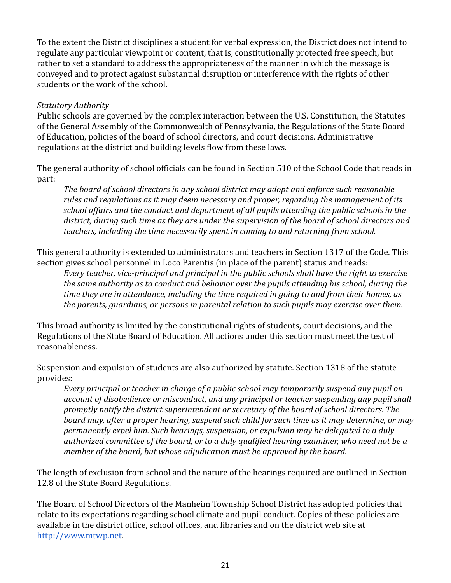To the extent the District disciplines a student for verbal expression, the District does not intend to regulate any particular viewpoint or content, that is, constitutionally protected free speech, but rather to set a standard to address the appropriateness of the manner in which the message is conveyed and to protect against substantial disruption or interference with the rights of other students or the work of the school.

#### *Statutory Authority*

Public schools are governed by the complex interaction between the U.S. Constitution, the Statutes of the General Assembly of the Commonwealth of Pennsylvania, the Regulations of the State Board of Education, policies of the board of school directors, and court decisions. Administrative regulations at the district and building levels flow from these laws.

The general authority of school officials can be found in Section 510 of the School Code that reads in part:

*The board of school directors in any school district may adopt and enforce such reasonable rules and regulations as it may deem necessary and proper, regarding the management of its school affairs and the conduct and deportment of all pupils attending the public schools in the district, during such time as they are under the supervision of the board of school directors and teachers, including the time necessarily spent in coming to and returning from school.*

This general authority is extended to administrators and teachers in Section 1317 of the Code. This section gives school personnel in Loco Parentis (in place of the parent) status and reads:

*Every teacher, vice-principal and principal in the public schools shall have the right to exercise the same authority as to conduct and behavior over the pupils attending his school, during the time they are in attendance, including the time required in going to and from their homes, as the parents, guardians, or persons in parental relation to such pupils may exercise over them.*

This broad authority is limited by the constitutional rights of students, court decisions, and the Regulations of the State Board of Education. All actions under this section must meet the test of reasonableness.

Suspension and expulsion of students are also authorized by statute. Section 1318 of the statute provides:

*Every principal or teacher in charge of a public school may temporarily suspend any pupil on account of disobedience or misconduct, and any principal or teacher suspending any pupil shall promptly notify the district superintendent or secretary of the board of school directors. The board may, after a proper hearing, suspend such child for such time as it may determine, or may permanently expel him. Such hearings, suspension, or expulsion may be delegated to a duly authorized committee of the board, or to a duly qualified hearing examiner, who need not be a member of the board, but whose adjudication must be approved by the board.*

The length of exclusion from school and the nature of the hearings required are outlined in Section 12.8 of the State Board Regulations.

The Board of School Directors of the Manheim Township School District has adopted policies that relate to its expectations regarding school climate and pupil conduct. Copies of these policies are available in the district office, school offices, and libraries and on the district web site at <http://www.mtwp.net>.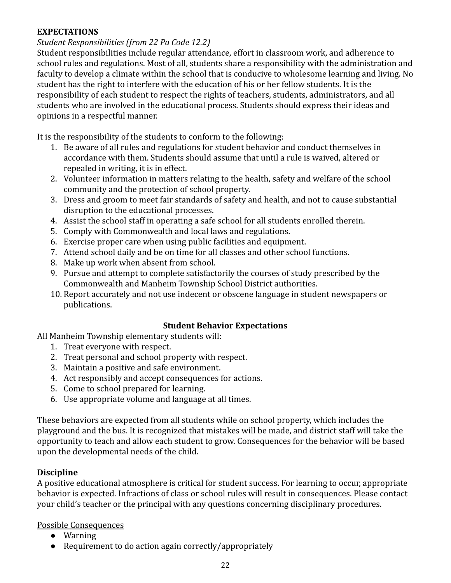#### <span id="page-22-0"></span>**EXPECTATIONS**

#### *Student Responsibilities (from 22 Pa Code 12.2)*

Student responsibilities include regular attendance, effort in classroom work, and adherence to school rules and regulations. Most of all, students share a responsibility with the administration and faculty to develop a climate within the school that is conducive to wholesome learning and living. No student has the right to interfere with the education of his or her fellow students. It is the responsibility of each student to respect the rights of teachers, students, administrators, and all students who are involved in the educational process. Students should express their ideas and opinions in a respectful manner.

It is the responsibility of the students to conform to the following:

- 1. Be aware of all rules and regulations for student behavior and conduct themselves in accordance with them. Students should assume that until a rule is waived, altered or repealed in writing, it is in effect.
- 2. Volunteer information in matters relating to the health, safety and welfare of the school community and the protection of school property.
- 3. Dress and groom to meet fair standards of safety and health, and not to cause substantial disruption to the educational processes.
- 4. Assist the school staff in operating a safe school for all students enrolled therein.
- 5. Comply with Commonwealth and local laws and regulations.
- 6. Exercise proper care when using public facilities and equipment.
- 7. Attend school daily and be on time for all classes and other school functions.
- 8. Make up work when absent from school.
- 9. Pursue and attempt to complete satisfactorily the courses of study prescribed by the Commonwealth and Manheim Township School District authorities.
- 10. Report accurately and not use indecent or obscene language in student newspapers or publications.

#### **Student Behavior Expectations**

<span id="page-22-1"></span>All Manheim Township elementary students will:

- 1. Treat everyone with respect.
- 2. Treat personal and school property with respect.
- 3. Maintain a positive and safe environment.
- 4. Act responsibly and accept consequences for actions.
- 5. Come to school prepared for learning.
- 6. Use appropriate volume and language at all times.

These behaviors are expected from all students while on school property, which includes the playground and the bus. It is recognized that mistakes will be made, and district staff will take the opportunity to teach and allow each student to grow. Consequences for the behavior will be based upon the developmental needs of the child.

## **Discipline**

A positive educational atmosphere is critical for student success. For learning to occur, appropriate behavior is expected. Infractions of class or school rules will result in consequences. Please contact your child's teacher or the principal with any questions concerning disciplinary procedures.

#### Possible Consequences

- Warning
- Requirement to do action again correctly/appropriately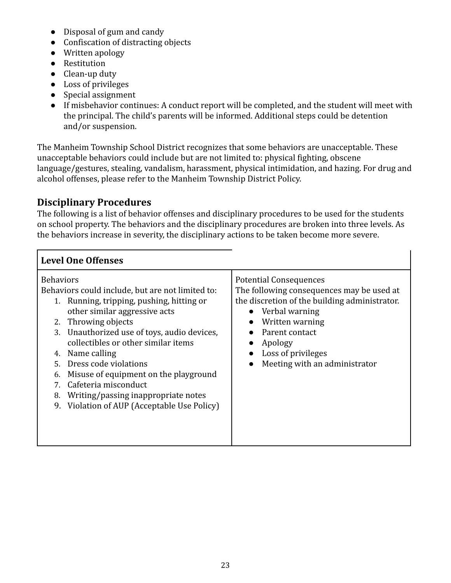- Disposal of gum and candy
- Confiscation of distracting objects
- Written apology
- Restitution
- Clean-up duty
- Loss of privileges
- Special assignment
- If misbehavior continues: A conduct report will be completed, and the student will meet with the principal. The child's parents will be informed. Additional steps could be detention and/or suspension.

The Manheim Township School District recognizes that some behaviors are unacceptable. These unacceptable behaviors could include but are not limited to: physical fighting, obscene language/gestures, stealing, vandalism, harassment, physical intimidation, and hazing. For drug and alcohol offenses, please refer to the Manheim Township District Policy.

## <span id="page-23-0"></span>**Disciplinary Procedures**

The following is a list of behavior offenses and disciplinary procedures to be used for the students on school property. The behaviors and the disciplinary procedures are broken into three levels. As the behaviors increase in severity, the disciplinary actions to be taken become more severe.

| <b>Level One Offenses</b>                                                                                                                                                                                                                                                                                                                                                                                                                                                                                       |                                                                                                                                                                                                                                                        |
|-----------------------------------------------------------------------------------------------------------------------------------------------------------------------------------------------------------------------------------------------------------------------------------------------------------------------------------------------------------------------------------------------------------------------------------------------------------------------------------------------------------------|--------------------------------------------------------------------------------------------------------------------------------------------------------------------------------------------------------------------------------------------------------|
| <b>Behaviors</b><br>Behaviors could include, but are not limited to:<br>1. Running, tripping, pushing, hitting or<br>other similar aggressive acts<br>2. Throwing objects<br>Unauthorized use of toys, audio devices,<br>3.<br>collectibles or other similar items<br>Name calling<br>4.<br>Dress code violations<br>5.<br>$\bullet$<br>Misuse of equipment on the playground<br>6.<br>Cafeteria misconduct<br>7<br>Writing/passing inappropriate notes<br>8.<br>Violation of AUP (Acceptable Use Policy)<br>9. | <b>Potential Consequences</b><br>The following consequences may be used at<br>the discretion of the building administrator.<br>• Verbal warning<br>Written warning<br>Parent contact<br>Apology<br>Loss of privileges<br>Meeting with an administrator |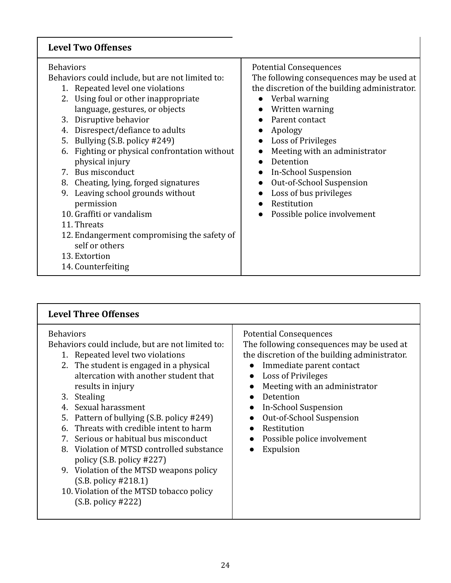## **Level Two Offenses**

| <b>Behaviors</b><br><b>Potential Consequences</b><br>The following consequences may be used at<br>Behaviors could include, but are not limited to:<br>the discretion of the building administrator.<br>1. Repeated level one violations<br>2. Using foul or other inappropriate<br>Verbal warning<br>$\bullet$<br>language, gestures, or objects<br>Written warning<br>3. Disruptive behavior<br>Parent contact<br>Disrespect/defiance to adults<br>Apology<br>4.<br>Bullying (S.B. policy #249)<br><b>Loss of Privileges</b><br>5.<br>$\bullet$<br>Fighting or physical confrontation without<br>Meeting with an administrator<br>6.<br>physical injury<br>Detention<br>7. Bus misconduct<br><b>In-School Suspension</b><br>Out-of-School Suspension<br>Cheating, lying, forged signatures<br>8.<br>$\bullet$<br>Leaving school grounds without<br>Loss of bus privileges<br>9.<br>permission<br>Restitution<br>10. Graffiti or vandalism<br>Possible police involvement<br>11. Threats<br>12. Endangerment compromising the safety of<br>self or others<br>13. Extortion<br>14. Counterfeiting |
|--------------------------------------------------------------------------------------------------------------------------------------------------------------------------------------------------------------------------------------------------------------------------------------------------------------------------------------------------------------------------------------------------------------------------------------------------------------------------------------------------------------------------------------------------------------------------------------------------------------------------------------------------------------------------------------------------------------------------------------------------------------------------------------------------------------------------------------------------------------------------------------------------------------------------------------------------------------------------------------------------------------------------------------------------------------------------------------------------|
|                                                                                                                                                                                                                                                                                                                                                                                                                                                                                                                                                                                                                                                                                                                                                                                                                                                                                                                                                                                                                                                                                                  |

| <b>Level Three Offenses</b>                                                                                                                                                                                                                                                                                                                                                                                                                                                                                                                                                                                         |                                                                                                                                                                                                                                                                                                                                                                      |
|---------------------------------------------------------------------------------------------------------------------------------------------------------------------------------------------------------------------------------------------------------------------------------------------------------------------------------------------------------------------------------------------------------------------------------------------------------------------------------------------------------------------------------------------------------------------------------------------------------------------|----------------------------------------------------------------------------------------------------------------------------------------------------------------------------------------------------------------------------------------------------------------------------------------------------------------------------------------------------------------------|
| <b>Behaviors</b><br>Behaviors could include, but are not limited to:<br>1. Repeated level two violations<br>2. The student is engaged in a physical<br>altercation with another student that<br>results in injury<br>3. Stealing<br>4. Sexual harassment<br>Pattern of bullying (S.B. policy #249)<br>5.<br>Threats with credible intent to harm<br>6.<br>Serious or habitual bus misconduct<br>7.<br>8. Violation of MTSD controlled substance<br>policy $(S.B. policy #227)$<br>9. Violation of the MTSD weapons policy<br>(S.B. policy #218.1)<br>10. Violation of the MTSD tobacco policy<br>(S.B. policy #222) | <b>Potential Consequences</b><br>The following consequences may be used at<br>the discretion of the building administrator.<br>Immediate parent contact<br>Loss of Privileges<br>Meeting with an administrator<br>Detention<br>In-School Suspension<br>$\bullet$<br>Out-of-School Suspension<br>$\bullet$<br>Restitution<br>Possible police involvement<br>Expulsion |

1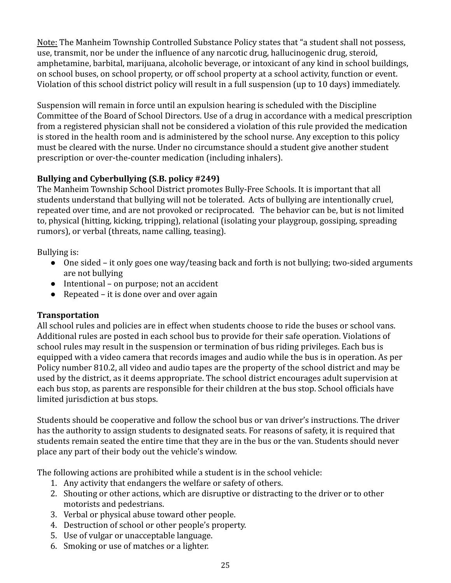Note: The Manheim Township Controlled Substance Policy states that "a student shall not possess, use, transmit, nor be under the influence of any narcotic drug, hallucinogenic drug, steroid, amphetamine, barbital, marijuana, alcoholic beverage, or intoxicant of any kind in school buildings, on school buses, on school property, or off school property at a school activity, function or event. Violation of this school district policy will result in a full suspension (up to 10 days) immediately.

Suspension will remain in force until an expulsion hearing is scheduled with the Discipline Committee of the Board of School Directors. Use of a drug in accordance with a medical prescription from a registered physician shall not be considered a violation of this rule provided the medication is stored in the health room and is administered by the school nurse. Any exception to this policy must be cleared with the nurse. Under no circumstance should a student give another student prescription or over-the-counter medication (including inhalers).

## <span id="page-25-0"></span>**Bullying and Cyberbullying (S.B. policy #249)**

The Manheim Township School District promotes Bully-Free Schools. It is important that all students understand that bullying will not be tolerated. Acts of bullying are intentionally cruel, repeated over time, and are not provoked or reciprocated. The behavior can be, but is not limited to, physical (hitting, kicking, tripping), relational (isolating your playgroup, gossiping, spreading rumors), or verbal (threats, name calling, teasing).

Bullying is:

- One sided it only goes one way/teasing back and forth is not bullying; two-sided arguments are not bullying
- Intentional on purpose; not an accident
- $\bullet$  Repeated it is done over and over again

## <span id="page-25-1"></span>**Transportation**

All school rules and policies are in effect when students choose to ride the buses or school vans. Additional rules are posted in each school bus to provide for their safe operation. Violations of school rules may result in the suspension or termination of bus riding privileges. Each bus is equipped with a video camera that records images and audio while the bus is in operation. As per Policy number 810.2, all video and audio tapes are the property of the school district and may be used by the district, as it deems appropriate. The school district encourages adult supervision at each bus stop, as parents are responsible for their children at the bus stop. School officials have limited jurisdiction at bus stops.

Students should be cooperative and follow the school bus or van driver's instructions. The driver has the authority to assign students to designated seats. For reasons of safety, it is required that students remain seated the entire time that they are in the bus or the van. Students should never place any part of their body out the vehicle's window.

The following actions are prohibited while a student is in the school vehicle:

- 1. Any activity that endangers the welfare or safety of others.
- 2. Shouting or other actions, which are disruptive or distracting to the driver or to other motorists and pedestrians.
- 3. Verbal or physical abuse toward other people.
- 4. Destruction of school or other people's property.
- 5. Use of vulgar or unacceptable language.
- 6. Smoking or use of matches or a lighter.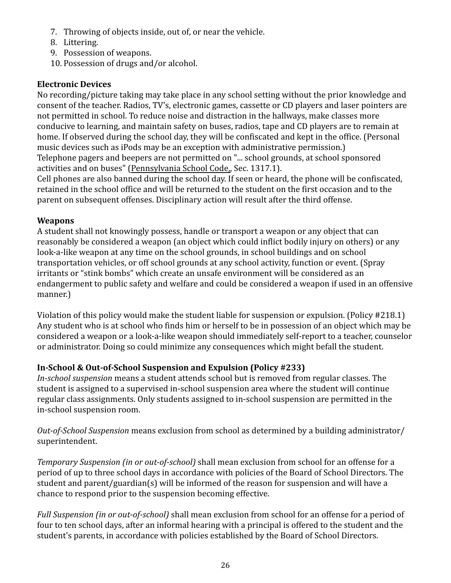- 7. Throwing of objects inside, out of, or near the vehicle.
- 8. Littering.
- 9. Possession of weapons.
- 10. Possession of drugs and/or alcohol.

#### <span id="page-26-0"></span>**Electronic Devices**

No recording/picture taking may take place in any school setting without the prior knowledge and consent of the teacher. Radios, TV's, electronic games, cassette or CD players and laser pointers are not permitted in school. To reduce noise and distraction in the hallways, make classes more conducive to learning, and maintain safety on buses, radios, tape and CD players are to remain at home. If observed during the school day, they will be confiscated and kept in the office. (Personal music devices such as iPods may be an exception with administrative permission.) Telephone pagers and beepers are not permitted on "... school grounds, at school sponsored activities and on buses" (Pennsylvania School Code,, Sec. 1317.1).

Cell phones are also banned during the school day. If seen or heard, the phone will be confiscated, retained in the school office and will be returned to the student on the first occasion and to the parent on subsequent offenses. Disciplinary action will result after the third offense.

#### <span id="page-26-1"></span>**Weapons**

A student shall not knowingly possess, handle or transport a weapon or any object that can reasonably be considered a weapon (an object which could inflict bodily injury on others) or any look-a-like weapon at any time on the school grounds, in school buildings and on school transportation vehicles, or off school grounds at any school activity, function or event. (Spray irritants or "stink bombs" which create an unsafe environment will be considered as an endangerment to public safety and welfare and could be considered a weapon if used in an offensive manner.)

Violation of this policy would make the student liable for suspension or expulsion. (Policy #218.1) Any student who is at school who finds him or herself to be in possession of an object which may be considered a weapon or a look-a-like weapon should immediately self-report to a teacher, counselor or administrator. Doing so could minimize any consequences which might befall the student.

## <span id="page-26-2"></span>**In-School & Out-of-School Suspension and Expulsion (Policy #233)**

*In-school suspension* means a student attends school but is removed from regular classes. The student is assigned to a supervised in-school suspension area where the student will continue regular class assignments. Only students assigned to in-school suspension are permitted in the in-school suspension room.

*Out-of-School Suspension* means exclusion from school as determined by a building administrator/ superintendent.

*Temporary Suspension (in or out-of-school)* shall mean exclusion from school for an offense for a period of up to three school days in accordance with policies of the Board of School Directors. The student and parent/guardian(s) will be informed of the reason for suspension and will have a chance to respond prior to the suspension becoming effective.

*Full Suspension (in or out-of-school)* shall mean exclusion from school for an offense for a period of four to ten school days, after an informal hearing with a principal is offered to the student and the student's parents, in accordance with policies established by the Board of School Directors.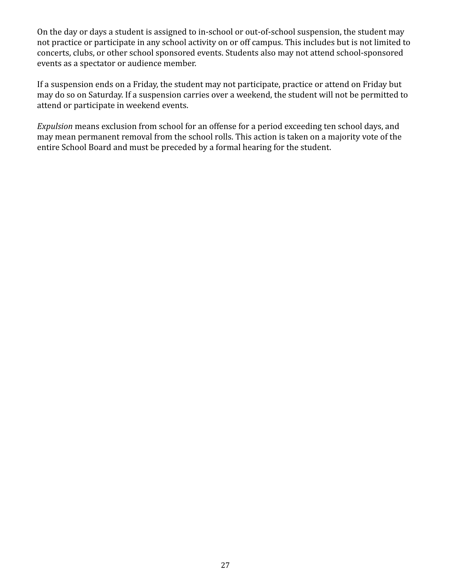On the day or days a student is assigned to in-school or out-of-school suspension, the student may not practice or participate in any school activity on or off campus. This includes but is not limited to concerts, clubs, or other school sponsored events. Students also may not attend school-sponsored events as a spectator or audience member.

If a suspension ends on a Friday, the student may not participate, practice or attend on Friday but may do so on Saturday. If a suspension carries over a weekend, the student will not be permitted to attend or participate in weekend events.

*Expulsion* means exclusion from school for an offense for a period exceeding ten school days, and may mean permanent removal from the school rolls. This action is taken on a majority vote of the entire School Board and must be preceded by a formal hearing for the student.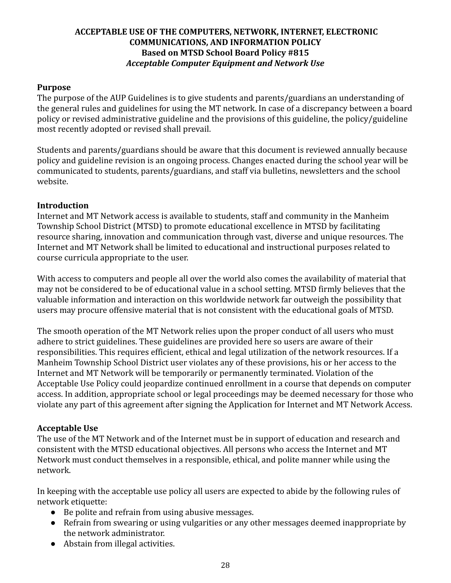#### **ACCEPTABLE USE OF THE COMPUTERS, NETWORK, INTERNET, ELECTRONIC COMMUNICATIONS, AND INFORMATION POLICY Based on MTSD School Board Policy #815** *Acceptable Computer Equipment and Network Use*

#### **Purpose**

The purpose of the AUP Guidelines is to give students and parents/guardians an understanding of the general rules and guidelines for using the MT network. In case of a discrepancy between a board policy or revised administrative guideline and the provisions of this guideline, the policy/guideline most recently adopted or revised shall prevail.

Students and parents/guardians should be aware that this document is reviewed annually because policy and guideline revision is an ongoing process. Changes enacted during the school year will be communicated to students, parents/guardians, and staff via bulletins, newsletters and the school website.

#### **Introduction**

Internet and MT Network access is available to students, staff and community in the Manheim Township School District (MTSD) to promote educational excellence in MTSD by facilitating resource sharing, innovation and communication through vast, diverse and unique resources. The Internet and MT Network shall be limited to educational and instructional purposes related to course curricula appropriate to the user.

With access to computers and people all over the world also comes the availability of material that may not be considered to be of educational value in a school setting. MTSD firmly believes that the valuable information and interaction on this worldwide network far outweigh the possibility that users may procure offensive material that is not consistent with the educational goals of MTSD.

The smooth operation of the MT Network relies upon the proper conduct of all users who must adhere to strict guidelines. These guidelines are provided here so users are aware of their responsibilities. This requires efficient, ethical and legal utilization of the network resources. If a Manheim Township School District user violates any of these provisions, his or her access to the Internet and MT Network will be temporarily or permanently terminated. Violation of the Acceptable Use Policy could jeopardize continued enrollment in a course that depends on computer access. In addition, appropriate school or legal proceedings may be deemed necessary for those who violate any part of this agreement after signing the Application for Internet and MT Network Access.

#### **Acceptable Use**

The use of the MT Network and of the Internet must be in support of education and research and consistent with the MTSD educational objectives. All persons who access the Internet and MT Network must conduct themselves in a responsible, ethical, and polite manner while using the network.

In keeping with the acceptable use policy all users are expected to abide by the following rules of network etiquette:

- Be polite and refrain from using abusive messages.
- Refrain from swearing or using vulgarities or any other messages deemed inappropriate by the network administrator.
- Abstain from illegal activities.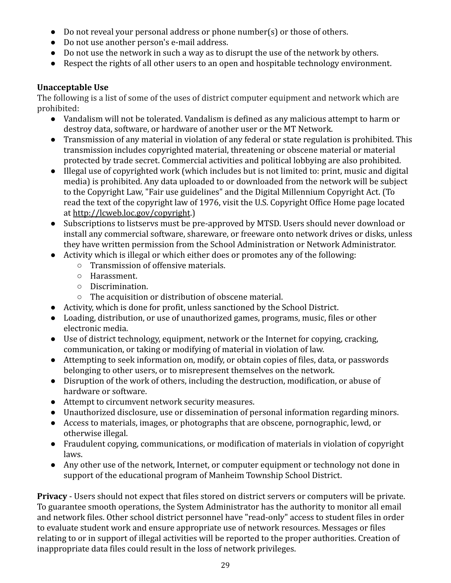- Do not reveal your personal address or phone number(s) or those of others.
- Do not use another person's e-mail address.
- Do not use the network in such a way as to disrupt the use of the network by others.
- Respect the rights of all other users to an open and hospitable technology environment.

#### **Unacceptable Use**

The following is a list of some of the uses of district computer equipment and network which are prohibited:

- Vandalism will not be tolerated. Vandalism is defined as any malicious attempt to harm or destroy data, software, or hardware of another user or the MT Network.
- Transmission of any material in violation of any federal or state regulation is prohibited. This transmission includes copyrighted material, threatening or obscene material or material protected by trade secret. Commercial activities and political lobbying are also prohibited.
- Illegal use of copyrighted work (which includes but is not limited to: print, music and digital media) is prohibited. Any data uploaded to or downloaded from the network will be subject to the Copyright Law, "Fair use guidelines" and the Digital Millennium Copyright Act. (To read the text of the copyright law of 1976, visit the U.S. Copyright Office Home page located at <http://lcweb.loc.gov/copyright>.)
- Subscriptions to listservs must be pre-approved by MTSD. Users should never download or install any commercial software, shareware, or freeware onto network drives or disks, unless they have written permission from the School Administration or Network Administrator.
- Activity which is illegal or which either does or promotes any of the following:
	- Transmission of offensive materials.
	- Harassment.
	- Discrimination.
	- The acquisition or distribution of obscene material.
- Activity, which is done for profit, unless sanctioned by the School District.
- Loading, distribution, or use of unauthorized games, programs, music, files or other electronic media.
- Use of district technology, equipment, network or the Internet for copying, cracking, communication, or taking or modifying of material in violation of law.
- Attempting to seek information on, modify, or obtain copies of files, data, or passwords belonging to other users, or to misrepresent themselves on the network.
- Disruption of the work of others, including the destruction, modification, or abuse of hardware or software.
- Attempt to circumvent network security measures.
- Unauthorized disclosure, use or dissemination of personal information regarding minors.
- Access to materials, images, or photographs that are obscene, pornographic, lewd, or otherwise illegal.
- Fraudulent copying, communications, or modification of materials in violation of copyright laws.
- Any other use of the network, Internet, or computer equipment or technology not done in support of the educational program of Manheim Township School District.

**Privacy** - Users should not expect that files stored on district servers or computers will be private. To guarantee smooth operations, the System Administrator has the authority to monitor all email and network files. Other school district personnel have "read-only" access to student files in order to evaluate student work and ensure appropriate use of network resources. Messages or files relating to or in support of illegal activities will be reported to the proper authorities. Creation of inappropriate data files could result in the loss of network privileges.